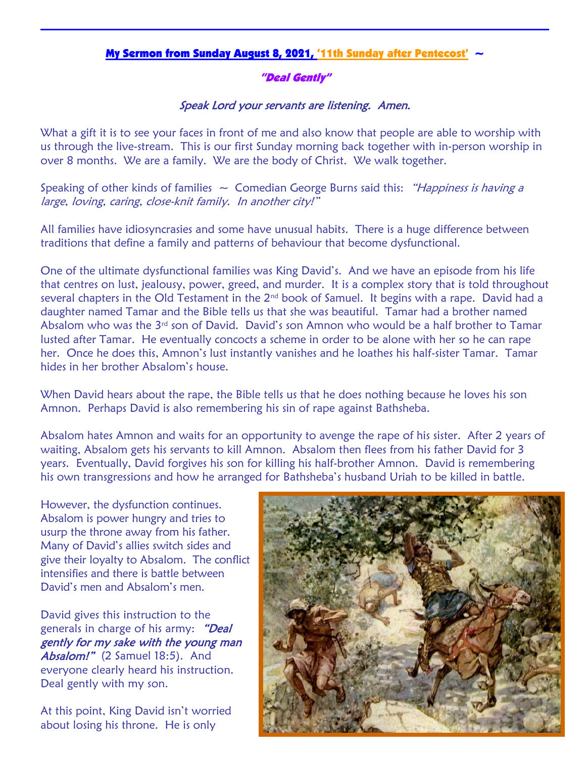## My Sermon from Sunday August 8, 2021, '11th Sunday after Pentecost' ~

## "Deal Gently"

## Speak Lord your servants are listening. Amen.

What a gift it is to see your faces in front of me and also know that people are able to worship with us through the live-stream. This is our first Sunday morning back together with in-person worship in over 8 months. We are a family. We are the body of Christ. We walk together.

Speaking of other kinds of families  $\sim$  Comedian George Burns said this: "Happiness is having a large, loving, caring, close-knit family. In another city!"

All families have idiosyncrasies and some have unusual habits. There is a huge difference between traditions that define a family and patterns of behaviour that become dysfunctional.

One of the ultimate dysfunctional families was King David's. And we have an episode from his life that centres on lust, jealousy, power, greed, and murder. It is a complex story that is told throughout several chapters in the Old Testament in the 2<sup>nd</sup> book of Samuel. It begins with a rape. David had a daughter named Tamar and the Bible tells us that she was beautiful. Tamar had a brother named Absalom who was the  $3<sup>rd</sup>$  son of David. David's son Amnon who would be a half brother to Tamar lusted after Tamar. He eventually concocts a scheme in order to be alone with her so he can rape her. Once he does this, Amnon's lust instantly vanishes and he loathes his half-sister Tamar. Tamar hides in her brother Absalom's house.

When David hears about the rape, the Bible tells us that he does nothing because he loves his son Amnon. Perhaps David is also remembering his sin of rape against Bathsheba.

Absalom hates Amnon and waits for an opportunity to avenge the rape of his sister. After 2 years of waiting, Absalom gets his servants to kill Amnon. Absalom then flees from his father David for 3 years. Eventually, David forgives his son for killing his half-brother Amnon. David is remembering his own transgressions and how he arranged for Bathsheba's husband Uriah to be killed in battle.

However, the dysfunction continues. Absalom is power hungry and tries to usurp the throne away from his father. Many of David's allies switch sides and give their loyalty to Absalom. The conflict intensifies and there is battle between David's men and Absalom's men.

David gives this instruction to the generals in charge of his army: "Deal gently for my sake with the young man Absalom!" (2 Samuel 18:5). And everyone clearly heard his instruction. Deal gently with my son.

At this point, King David isn't worried about losing his throne. He is only

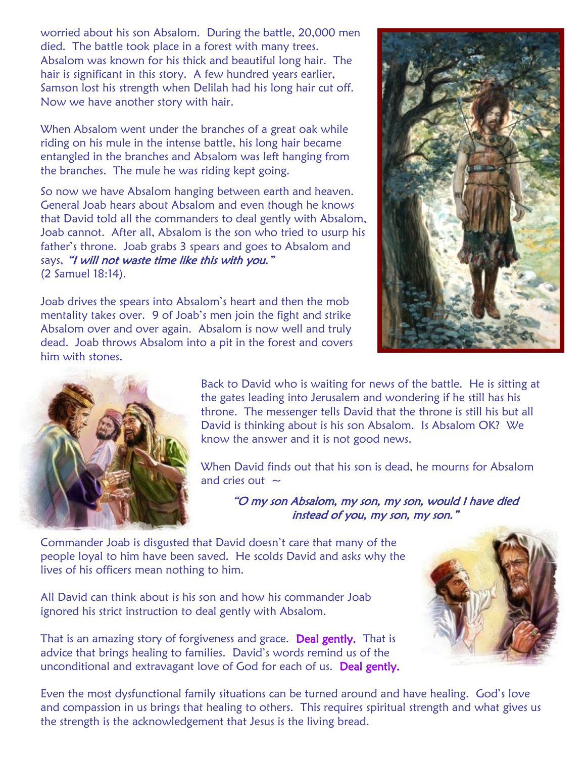worried about his son Absalom. During the battle, 20,000 men died. The battle took place in a forest with many trees. Absalom was known for his thick and beautiful long hair. The hair is significant in this story. A few hundred years earlier, Samson lost his strength when Delilah had his long hair cut off. Now we have another story with hair.

When Absalom went under the branches of a great oak while riding on his mule in the intense battle, his long hair became entangled in the branches and Absalom was left hanging from the branches. The mule he was riding kept going.

So now we have Absalom hanging between earth and heaven. General Joab hears about Absalom and even though he knows that David told all the commanders to deal gently with Absalom, Joab cannot. After all, Absalom is the son who tried to usurp his father's throne. Joab grabs 3 spears and goes to Absalom and says, "I will not waste time like this with you." (2 Samuel 18:14).

Joab drives the spears into Absalom's heart and then the mob mentality takes over. 9 of Joab's men join the fight and strike Absalom over and over again. Absalom is now well and truly dead. Joab throws Absalom into a pit in the forest and covers him with stones.





Back to David who is waiting for news of the battle. He is sitting at the gates leading into Jerusalem and wondering if he still has his throne. The messenger tells David that the throne is still his but all David is thinking about is his son Absalom. Is Absalom OK? We know the answer and it is not good news.

When David finds out that his son is dead, he mourns for Absalom and cries out  $\sim$ 

"O my son Absalom, my son, my son, would I have died instead of you, my son, my son."

Commander Joab is disgusted that David doesn't care that many of the people loyal to him have been saved. He scolds David and asks why the lives of his officers mean nothing to him.

All David can think about is his son and how his commander Joab ignored his strict instruction to deal gently with Absalom.

That is an amazing story of forgiveness and grace. Deal gently. That is advice that brings healing to families. David's words remind us of the unconditional and extravagant love of God for each of us. Deal gently.



Even the most dysfunctional family situations can be turned around and have healing. God's love and compassion in us brings that healing to others. This requires spiritual strength and what gives us the strength is the acknowledgement that Jesus is the living bread.